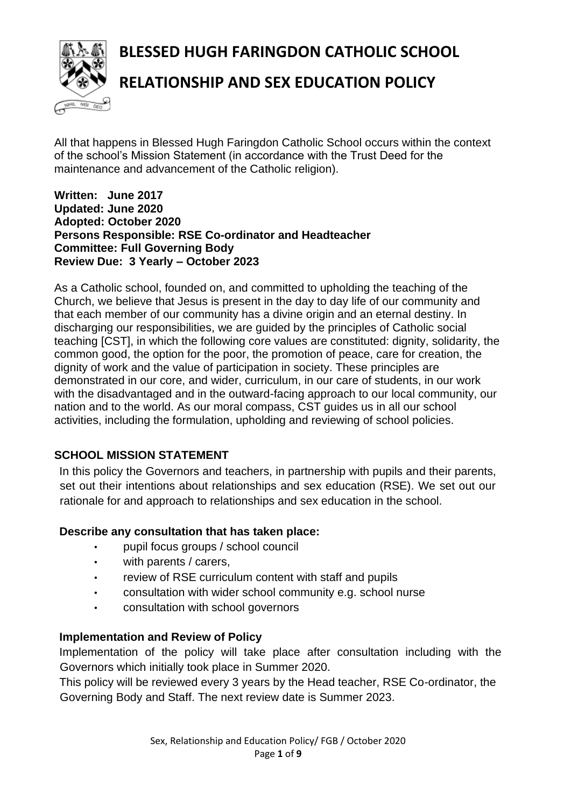**BLESSED HUGH FARINGDON CATHOLIC SCHOOL**



# **RELATIONSHIP AND SEX EDUCATION POLICY**

All that happens in Blessed Hugh Faringdon Catholic School occurs within the context of the school's Mission Statement (in accordance with the Trust Deed for the maintenance and advancement of the Catholic religion).

#### **Written: June 2017 Updated: June 2020 Adopted: October 2020 Persons Responsible: RSE Co-ordinator and Headteacher Committee: Full Governing Body Review Due: 3 Yearly – October 2023**

As a Catholic school, founded on, and committed to upholding the teaching of the Church, we believe that Jesus is present in the day to day life of our community and that each member of our community has a divine origin and an eternal destiny. In discharging our responsibilities, we are guided by the principles of Catholic social teaching [CST], in which the following core values are constituted: dignity, solidarity, the common good, the option for the poor, the promotion of peace, care for creation, the dignity of work and the value of participation in society. These principles are demonstrated in our core, and wider, curriculum, in our care of students, in our work with the disadvantaged and in the outward-facing approach to our local community, our nation and to the world. As our moral compass, CST guides us in all our school activities, including the formulation, upholding and reviewing of school policies.

## **SCHOOL MISSION STATEMENT**

In this policy the Governors and teachers, in partnership with pupils and their parents, set out their intentions about relationships and sex education (RSE). We set out our rationale for and approach to relationships and sex education in the school.

#### **Describe any consultation that has taken place:**

- pupil focus groups / school council
- with parents / carers,
- review of RSE curriculum content with staff and pupils
- consultation with wider school community e.g. school nurse
- consultation with school governors

#### **Implementation and Review of Policy**

Implementation of the policy will take place after consultation including with the Governors which initially took place in Summer 2020.

This policy will be reviewed every 3 years by the Head teacher, RSE Co-ordinator, the Governing Body and Staff. The next review date is Summer 2023.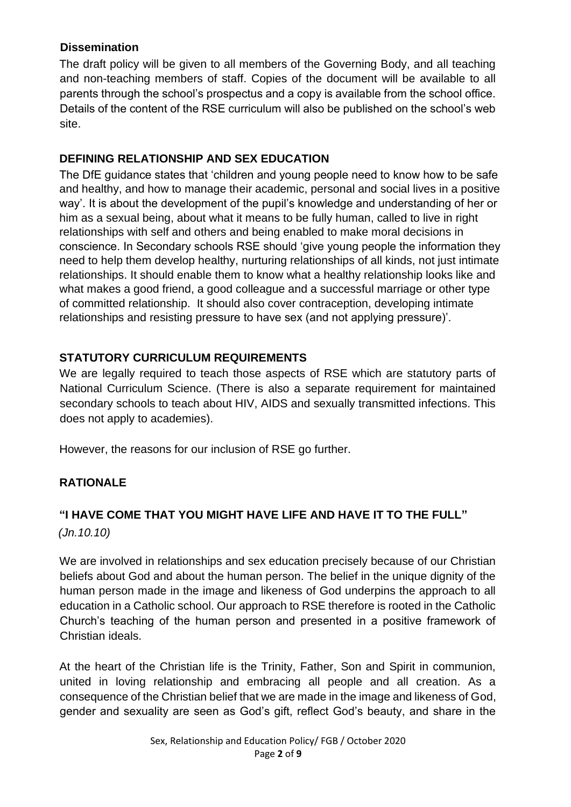## **Dissemination**

The draft policy will be given to all members of the Governing Body, and all teaching and non-teaching members of staff. Copies of the document will be available to all parents through the school's prospectus and a copy is available from the school office. Details of the content of the RSE curriculum will also be published on the school's web site.

## **DEFINING RELATIONSHIP AND SEX EDUCATION**

The DfE guidance states that 'children and young people need to know how to be safe and healthy, and how to manage their academic, personal and social lives in a positive way'. It is about the development of the pupil's knowledge and understanding of her or him as a sexual being, about what it means to be fully human, called to live in right relationships with self and others and being enabled to make moral decisions in conscience. In Secondary schools RSE should 'give young people the information they need to help them develop healthy, nurturing relationships of all kinds, not just intimate relationships. It should enable them to know what a healthy relationship looks like and what makes a good friend, a good colleague and a successful marriage or other type of committed relationship. It should also cover contraception, developing intimate relationships and resisting pressure to have sex (and not applying pressure)'.

## **STATUTORY CURRICULUM REQUIREMENTS**

We are legally required to teach those aspects of RSE which are statutory parts of National Curriculum Science. (There is also a separate requirement for maintained secondary schools to teach about HIV, AIDS and sexually transmitted infections. This does not apply to academies).

However, the reasons for our inclusion of RSE go further.

## **RATIONALE**

## **"I HAVE COME THAT YOU MIGHT HAVE LIFE AND HAVE IT TO THE FULL"**

*(Jn.10.10)*

We are involved in relationships and sex education precisely because of our Christian beliefs about God and about the human person. The belief in the unique dignity of the human person made in the image and likeness of God underpins the approach to all education in a Catholic school. Our approach to RSE therefore is rooted in the Catholic Church's teaching of the human person and presented in a positive framework of Christian ideals.

At the heart of the Christian life is the Trinity, Father, Son and Spirit in communion, united in loving relationship and embracing all people and all creation. As a consequence of the Christian belief that we are made in the image and likeness of God, gender and sexuality are seen as God's gift, reflect God's beauty, and share in the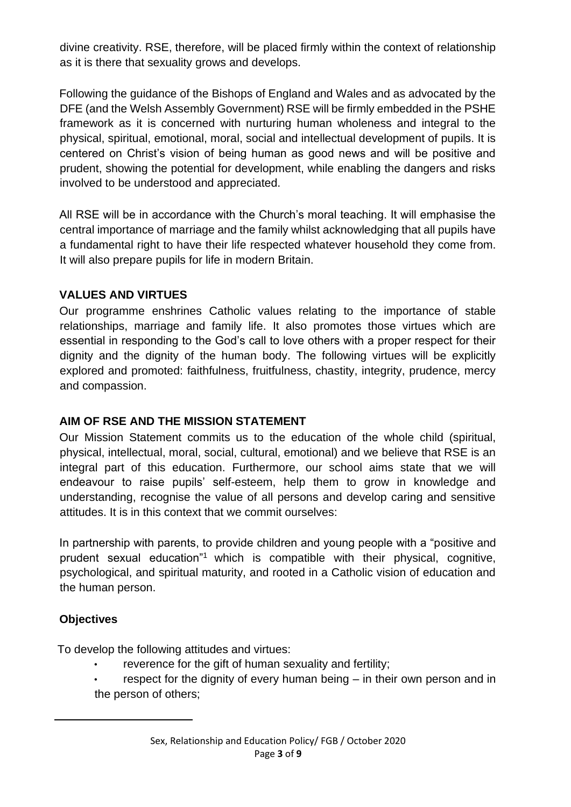divine creativity. RSE, therefore, will be placed firmly within the context of relationship as it is there that sexuality grows and develops.

Following the guidance of the Bishops of England and Wales and as advocated by the DFE (and the Welsh Assembly Government) RSE will be firmly embedded in the PSHE framework as it is concerned with nurturing human wholeness and integral to the physical, spiritual, emotional, moral, social and intellectual development of pupils. It is centered on Christ's vision of being human as good news and will be positive and prudent, showing the potential for development, while enabling the dangers and risks involved to be understood and appreciated.

All RSE will be in accordance with the Church's moral teaching. It will emphasise the central importance of marriage and the family whilst acknowledging that all pupils have a fundamental right to have their life respected whatever household they come from. It will also prepare pupils for life in modern Britain.

#### **VALUES AND VIRTUES**

Our programme enshrines Catholic values relating to the importance of stable relationships, marriage and family life. It also promotes those virtues which are essential in responding to the God's call to love others with a proper respect for their dignity and the dignity of the human body. The following virtues will be explicitly explored and promoted: faithfulness, fruitfulness, chastity, integrity, prudence, mercy and compassion.

#### **AIM OF RSE AND THE MISSION STATEMENT**

Our Mission Statement commits us to the education of the whole child (spiritual, physical, intellectual, moral, social, cultural, emotional) and we believe that RSE is an integral part of this education. Furthermore, our school aims state that we will endeavour to raise pupils' self-esteem, help them to grow in knowledge and understanding, recognise the value of all persons and develop caring and sensitive attitudes. It is in this context that we commit ourselves:

In partnership with parents, to provide children and young people with a "positive and prudent sexual education"<sup>1</sup> which is compatible with their physical, cognitive, psychological, and spiritual maturity, and rooted in a Catholic vision of education and the human person.

## **Objectives**

To develop the following attitudes and virtues:

- reverence for the gift of human sexuality and fertility;
- respect for the dignity of every human being  $-$  in their own person and in the person of others;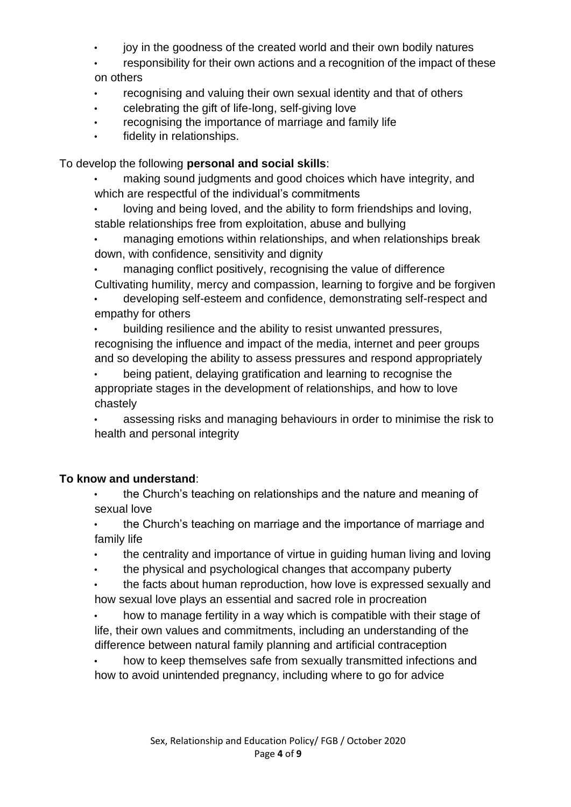- joy in the goodness of the created world and their own bodily natures
- responsibility for their own actions and a recognition of the impact of these on others
- recognising and valuing their own sexual identity and that of others
- celebrating the gift of life-long, self-giving love
- recognising the importance of marriage and family life
- fidelity in relationships.

To develop the following **personal and social skills**:

- making sound judgments and good choices which have integrity, and which are respectful of the individual's commitments
- loving and being loved, and the ability to form friendships and loving, stable relationships free from exploitation, abuse and bullying
- managing emotions within relationships, and when relationships break down, with confidence, sensitivity and dignity
- managing conflict positively, recognising the value of difference Cultivating humility, mercy and compassion, learning to forgive and be forgiven
- developing self-esteem and confidence, demonstrating self-respect and empathy for others
- building resilience and the ability to resist unwanted pressures, recognising the influence and impact of the media, internet and peer groups and so developing the ability to assess pressures and respond appropriately
- being patient, delaying gratification and learning to recognise the appropriate stages in the development of relationships, and how to love chastely
- assessing risks and managing behaviours in order to minimise the risk to health and personal integrity

## **To know and understand**:

- the Church's teaching on relationships and the nature and meaning of sexual love
- the Church's teaching on marriage and the importance of marriage and family life
- the centrality and importance of virtue in guiding human living and loving
- the physical and psychological changes that accompany puberty
- the facts about human reproduction, how love is expressed sexually and how sexual love plays an essential and sacred role in procreation
- how to manage fertility in a way which is compatible with their stage of life, their own values and commitments, including an understanding of the difference between natural family planning and artificial contraception

• how to keep themselves safe from sexually transmitted infections and how to avoid unintended pregnancy, including where to go for advice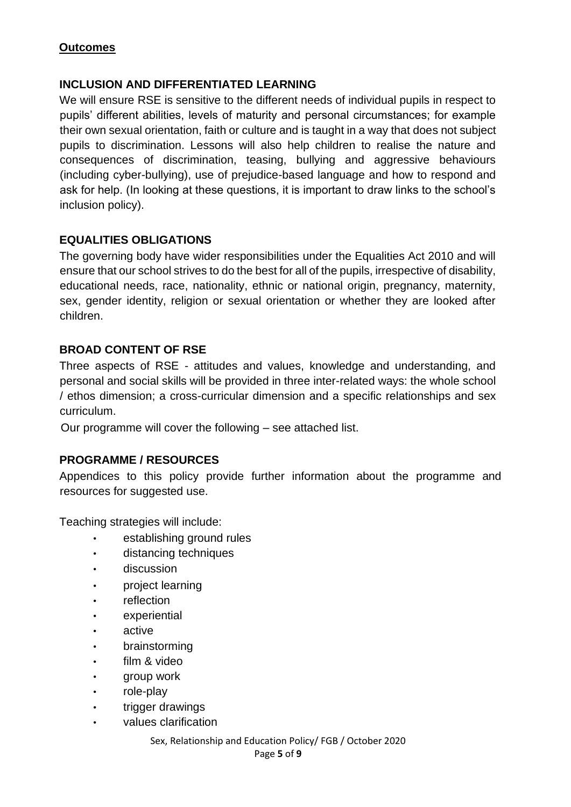#### **Outcomes**

#### **INCLUSION AND DIFFERENTIATED LEARNING**

We will ensure RSE is sensitive to the different needs of individual pupils in respect to pupils' different abilities, levels of maturity and personal circumstances; for example their own sexual orientation, faith or culture and is taught in a way that does not subject pupils to discrimination. Lessons will also help children to realise the nature and consequences of discrimination, teasing, bullying and aggressive behaviours (including cyber-bullying), use of prejudice-based language and how to respond and ask for help. (In looking at these questions, it is important to draw links to the school's inclusion policy).

#### **EQUALITIES OBLIGATIONS**

The governing body have wider responsibilities under the Equalities Act 2010 and will ensure that our school strives to do the best for all of the pupils, irrespective of disability, educational needs, race, nationality, ethnic or national origin, pregnancy, maternity, sex, gender identity, religion or sexual orientation or whether they are looked after children.

#### **BROAD CONTENT OF RSE**

Three aspects of RSE - attitudes and values, knowledge and understanding, and personal and social skills will be provided in three inter-related ways: the whole school / ethos dimension; a cross-curricular dimension and a specific relationships and sex curriculum.

Our programme will cover the following – see attached list.

#### **PROGRAMME / RESOURCES**

Appendices to this policy provide further information about the programme and resources for suggested use.

Teaching strategies will include:

- establishing ground rules
- distancing techniques
- discussion
- project learning
- reflection
- **experiential**
- active
- brainstorming
- film & video
- group work
- role-play
- trigger drawings
- values clarification

Sex, Relationship and Education Policy/ FGB / October 2020 Page **5** of **9**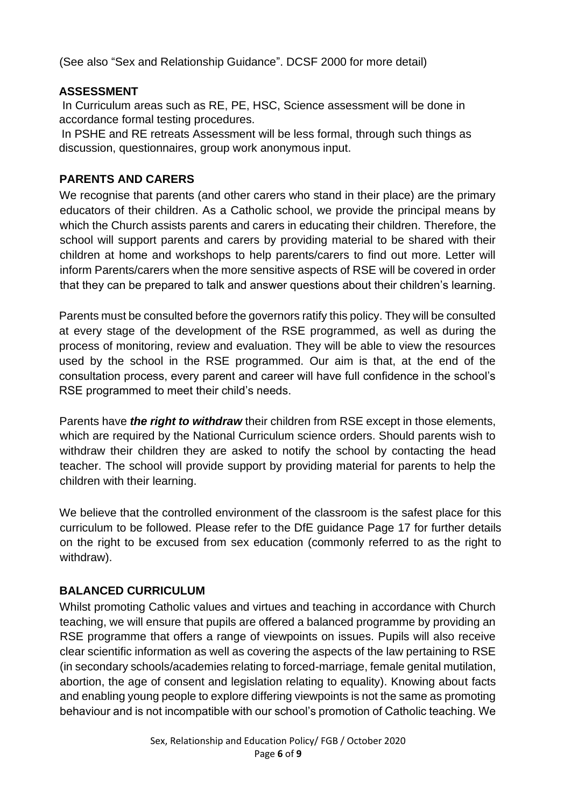(See also "Sex and Relationship Guidance". DCSF 2000 for more detail)

#### **ASSESSMENT**

In Curriculum areas such as RE, PE, HSC, Science assessment will be done in accordance formal testing procedures.

In PSHE and RE retreats Assessment will be less formal, through such things as discussion, questionnaires, group work anonymous input.

## **PARENTS AND CARERS**

We recognise that parents (and other carers who stand in their place) are the primary educators of their children. As a Catholic school, we provide the principal means by which the Church assists parents and carers in educating their children. Therefore, the school will support parents and carers by providing material to be shared with their children at home and workshops to help parents/carers to find out more. Letter will inform Parents/carers when the more sensitive aspects of RSE will be covered in order that they can be prepared to talk and answer questions about their children's learning.

Parents must be consulted before the governors ratify this policy. They will be consulted at every stage of the development of the RSE programmed, as well as during the process of monitoring, review and evaluation. They will be able to view the resources used by the school in the RSE programmed. Our aim is that, at the end of the consultation process, every parent and career will have full confidence in the school's RSE programmed to meet their child's needs.

Parents have *the right to withdraw* their children from RSE except in those elements, which are required by the National Curriculum science orders. Should parents wish to withdraw their children they are asked to notify the school by contacting the head teacher. The school will provide support by providing material for parents to help the children with their learning.

We believe that the controlled environment of the classroom is the safest place for this curriculum to be followed. Please refer to the DfE guidance Page 17 for further details on the right to be excused from sex education (commonly referred to as the right to withdraw).

## **BALANCED CURRICULUM**

Whilst promoting Catholic values and virtues and teaching in accordance with Church teaching, we will ensure that pupils are offered a balanced programme by providing an RSE programme that offers a range of viewpoints on issues. Pupils will also receive clear scientific information as well as covering the aspects of the law pertaining to RSE (in secondary schools/academies relating to forced-marriage, female genital mutilation, abortion, the age of consent and legislation relating to equality). Knowing about facts and enabling young people to explore differing viewpoints is not the same as promoting behaviour and is not incompatible with our school's promotion of Catholic teaching. We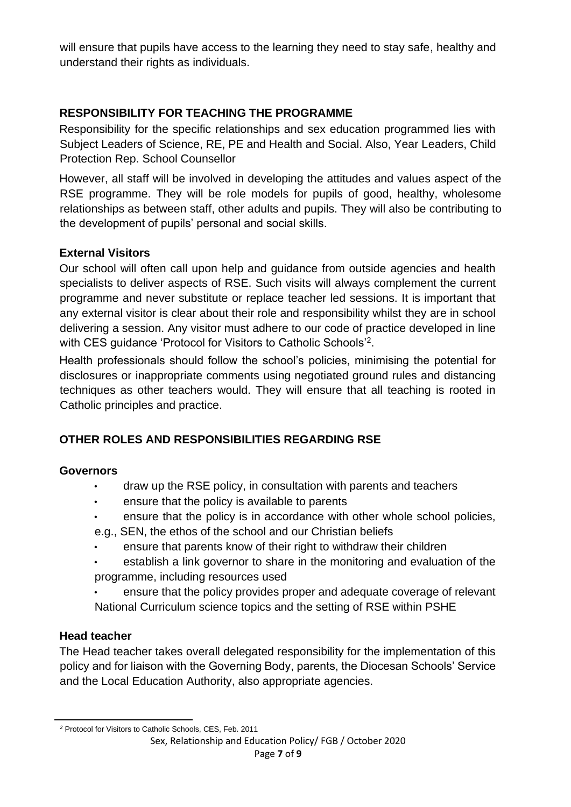will ensure that pupils have access to the learning they need to stay safe, healthy and understand their rights as individuals.

## **RESPONSIBILITY FOR TEACHING THE PROGRAMME**

Responsibility for the specific relationships and sex education programmed lies with Subject Leaders of Science, RE, PE and Health and Social. Also, Year Leaders, Child Protection Rep. School Counsellor

However, all staff will be involved in developing the attitudes and values aspect of the RSE programme. They will be role models for pupils of good, healthy, wholesome relationships as between staff, other adults and pupils. They will also be contributing to the development of pupils' personal and social skills.

#### **External Visitors**

Our school will often call upon help and guidance from outside agencies and health specialists to deliver aspects of RSE. Such visits will always complement the current programme and never substitute or replace teacher led sessions. It is important that any external visitor is clear about their role and responsibility whilst they are in school delivering a session. Any visitor must adhere to our code of practice developed in line with CES guidance 'Protocol for Visitors to Catholic Schools'<sup>2</sup>.

Health professionals should follow the school's policies, minimising the potential for disclosures or inappropriate comments using negotiated ground rules and distancing techniques as other teachers would. They will ensure that all teaching is rooted in Catholic principles and practice.

## **OTHER ROLES AND RESPONSIBILITIES REGARDING RSE**

#### **Governors**

- draw up the RSE policy, in consultation with parents and teachers
- ensure that the policy is available to parents
- ensure that the policy is in accordance with other whole school policies,
- e.g., SEN, the ethos of the school and our Christian beliefs
- ensure that parents know of their right to withdraw their children
- establish a link governor to share in the monitoring and evaluation of the programme, including resources used
- ensure that the policy provides proper and adequate coverage of relevant National Curriculum science topics and the setting of RSE within PSHE

#### **Head teacher**

The Head teacher takes overall delegated responsibility for the implementation of this policy and for liaison with the Governing Body, parents, the Diocesan Schools' Service and the Local Education Authority, also appropriate agencies.

Sex, Relationship and Education Policy/ FGB / October 2020

*<sup>2</sup>* Protocol for Visitors to Catholic Schools, CES, Feb. 2011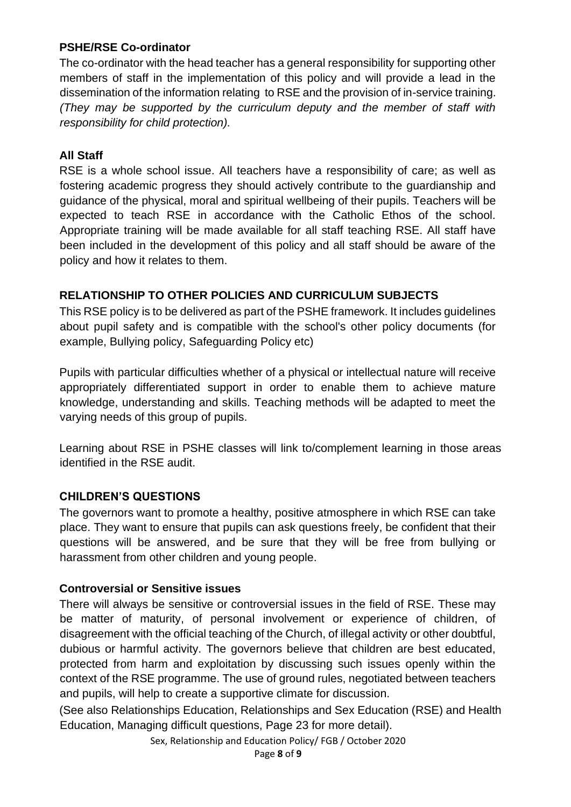#### **PSHE/RSE Co-ordinator**

The co-ordinator with the head teacher has a general responsibility for supporting other members of staff in the implementation of this policy and will provide a lead in the dissemination of the information relating to RSE and the provision of in-service training. *(They may be supported by the curriculum deputy and the member of staff with responsibility for child protection).* 

## **All Staff**

RSE is a whole school issue. All teachers have a responsibility of care; as well as fostering academic progress they should actively contribute to the guardianship and guidance of the physical, moral and spiritual wellbeing of their pupils. Teachers will be expected to teach RSE in accordance with the Catholic Ethos of the school. Appropriate training will be made available for all staff teaching RSE. All staff have been included in the development of this policy and all staff should be aware of the policy and how it relates to them.

#### **RELATIONSHIP TO OTHER POLICIES AND CURRICULUM SUBJECTS**

This RSE policy is to be delivered as part of the PSHE framework. It includes guidelines about pupil safety and is compatible with the school's other policy documents (for example, Bullying policy, Safeguarding Policy etc)

Pupils with particular difficulties whether of a physical or intellectual nature will receive appropriately differentiated support in order to enable them to achieve mature knowledge, understanding and skills. Teaching methods will be adapted to meet the varying needs of this group of pupils.

Learning about RSE in PSHE classes will link to/complement learning in those areas identified in the RSE audit.

## **CHILDREN'S QUESTIONS**

The governors want to promote a healthy, positive atmosphere in which RSE can take place. They want to ensure that pupils can ask questions freely, be confident that their questions will be answered, and be sure that they will be free from bullying or harassment from other children and young people.

#### **Controversial or Sensitive issues**

There will always be sensitive or controversial issues in the field of RSE. These may be matter of maturity, of personal involvement or experience of children, of disagreement with the official teaching of the Church, of illegal activity or other doubtful, dubious or harmful activity. The governors believe that children are best educated, protected from harm and exploitation by discussing such issues openly within the context of the RSE programme. The use of ground rules, negotiated between teachers and pupils, will help to create a supportive climate for discussion.

(See also Relationships Education, Relationships and Sex Education (RSE) and Health Education, Managing difficult questions, Page 23 for more detail).

Sex, Relationship and Education Policy/ FGB / October 2020